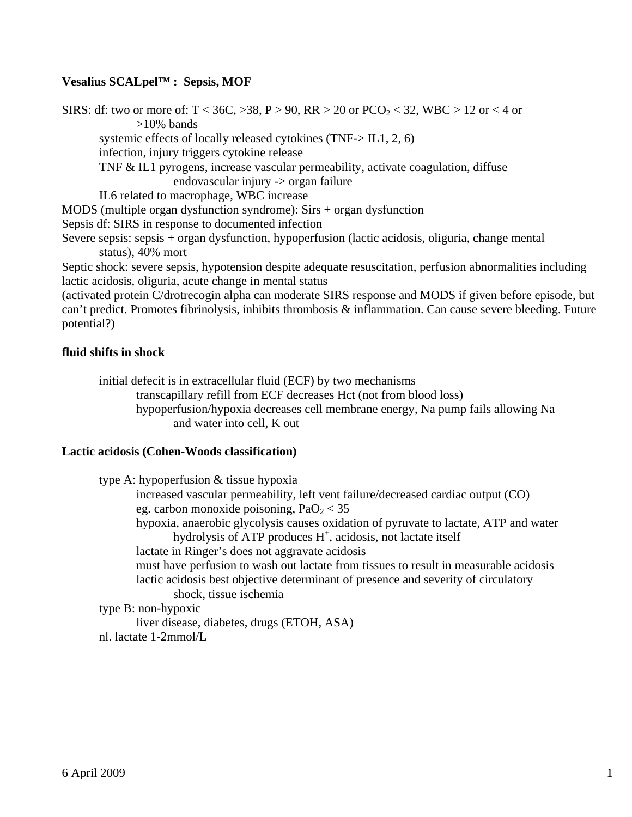# **Vesalius SCALpel™ : Sepsis, MOF**

SIRS: df: two or more of:  $T < 36C$ ,  $> 38$ ,  $P > 90$ ,  $RR > 20$  or  $PCO<sub>2</sub> < 32$ , WBC  $> 12$  or  $< 4$  or >10% bands systemic effects of locally released cytokines (TNF-> IL1, 2, 6) infection, injury triggers cytokine release TNF & IL1 pyrogens, increase vascular permeability, activate coagulation, diffuse endovascular injury -> organ failure IL6 related to macrophage, WBC increase MODS (multiple organ dysfunction syndrome): Sirs + organ dysfunction Sepsis df: SIRS in response to documented infection Severe sepsis: sepsis + organ dysfunction, hypoperfusion (lactic acidosis, oliguria, change mental status), 40% mort Septic shock: severe sepsis, hypotension despite adequate resuscitation, perfusion abnormalities including lactic acidosis, oliguria, acute change in mental status (activated protein C/drotrecogin alpha can moderate SIRS response and MODS if given before episode, but

can't predict. Promotes fibrinolysis, inhibits thrombosis & inflammation. Can cause severe bleeding. Future potential?)

# **fluid shifts in shock**

initial defecit is in extracellular fluid (ECF) by two mechanisms transcapillary refill from ECF decreases Hct (not from blood loss) hypoperfusion/hypoxia decreases cell membrane energy, Na pump fails allowing Na and water into cell, K out

## **Lactic acidosis (Cohen-Woods classification)**

| type A: hypoperfusion & tissue hypoxia |                                                                                       |
|----------------------------------------|---------------------------------------------------------------------------------------|
|                                        | increased vascular permeability, left vent failure/decreased cardiac output (CO)      |
|                                        | eg. carbon monoxide poisoning, $PaO2 < 35$                                            |
|                                        | hypoxia, anaerobic glycolysis causes oxidation of pyruvate to lactate, ATP and water  |
|                                        | hydrolysis of ATP produces $H^+$ , acidosis, not lactate itself                       |
|                                        | lactate in Ringer's does not aggravate acidosis                                       |
|                                        | must have perfusion to wash out lactate from tissues to result in measurable acidosis |
|                                        | lactic acidosis best objective determinant of presence and severity of circulatory    |
| shock, tissue ischemia                 |                                                                                       |
| type B: non-hypoxic                    |                                                                                       |
|                                        | liver disease, diabetes, drugs (ETOH, ASA)                                            |
| nl. lactate 1-2mmol/L                  |                                                                                       |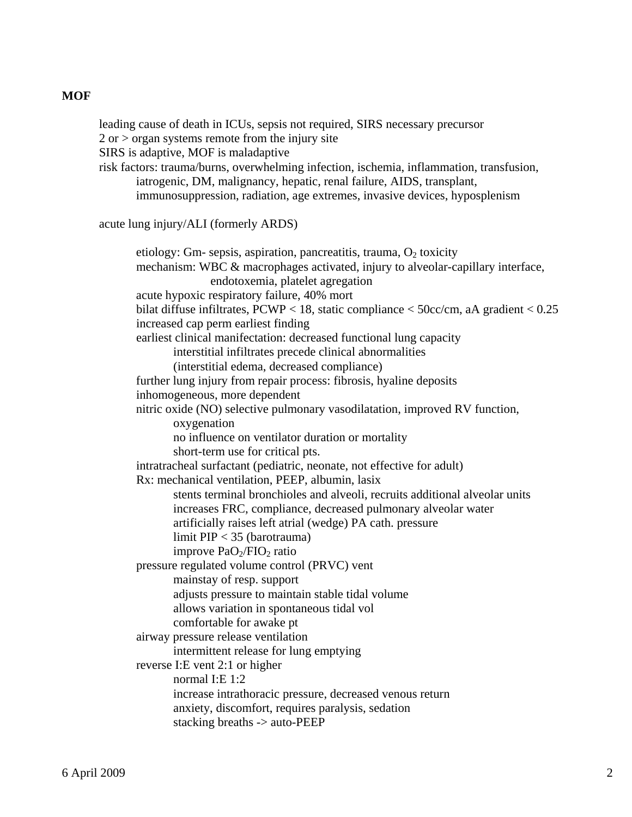## **MOF**

 leading cause of death in ICUs, sepsis not required, SIRS necessary precursor  $2$  or  $>$  organ systems remote from the injury site SIRS is adaptive, MOF is maladaptive risk factors: trauma/burns, overwhelming infection, ischemia, inflammation, transfusion, iatrogenic, DM, malignancy, hepatic, renal failure, AIDS, transplant, immunosuppression, radiation, age extremes, invasive devices, hyposplenism acute lung injury/ALI (formerly ARDS) etiology: Gm- sepsis, aspiration, pancreatitis, trauma,  $O_2$  toxicity mechanism: WBC & macrophages activated, injury to alveolar-capillary interface, endotoxemia, platelet agregation acute hypoxic respiratory failure, 40% mort bilat diffuse infiltrates,  $PCWP < 18$ , static compliance  $< 50$ cc/cm, aA gradient  $< 0.25$  increased cap perm earliest finding earliest clinical manifectation: decreased functional lung capacity interstitial infiltrates precede clinical abnormalities (interstitial edema, decreased compliance) further lung injury from repair process: fibrosis, hyaline deposits inhomogeneous, more dependent nitric oxide (NO) selective pulmonary vasodilatation, improved RV function, oxygenation no influence on ventilator duration or mortality short-term use for critical pts. intratracheal surfactant (pediatric, neonate, not effective for adult) Rx: mechanical ventilation, PEEP, albumin, lasix stents terminal bronchioles and alveoli, recruits additional alveolar units increases FRC, compliance, decreased pulmonary alveolar water artificially raises left atrial (wedge) PA cath. pressure limit PIP < 35 (barotrauma) improve  $PaO<sub>2</sub>/FIO<sub>2</sub>$  ratio pressure regulated volume control (PRVC) vent mainstay of resp. support adjusts pressure to maintain stable tidal volume allows variation in spontaneous tidal vol comfortable for awake pt airway pressure release ventilation intermittent release for lung emptying reverse I:E vent 2:1 or higher normal I:E 1:2 increase intrathoracic pressure, decreased venous return anxiety, discomfort, requires paralysis, sedation stacking breaths -> auto-PEEP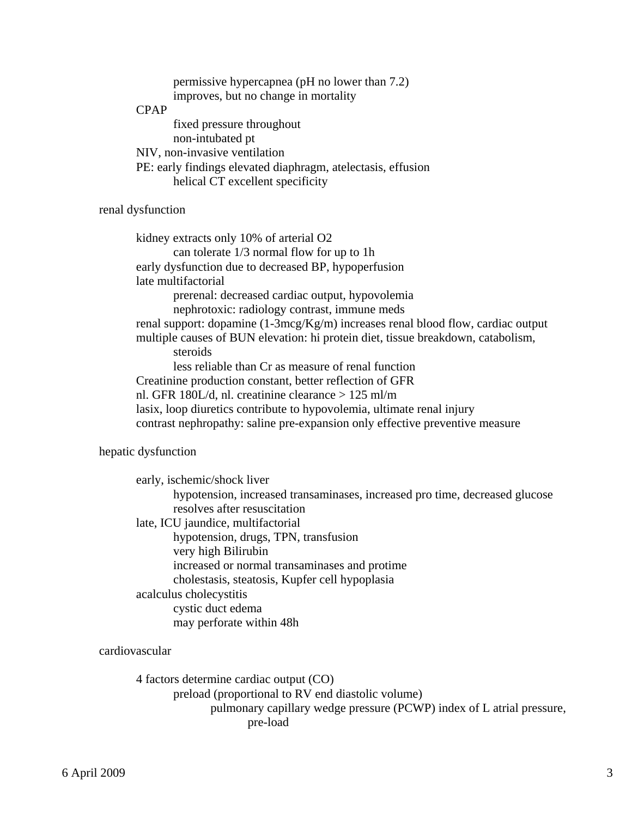|             | permissive hypercapnea (pH no lower than 7.2)                 |
|-------------|---------------------------------------------------------------|
|             | improves, but no change in mortality                          |
| <b>CPAP</b> |                                                               |
|             | fixed pressure throughout                                     |
|             | non-intubated pt                                              |
|             | NIV, non-invasive ventilation                                 |
|             | PE: early findings elevated diaphragm, at electasis, effusion |
|             | helical CT excellent specificity                              |

## renal dysfunction

 kidney extracts only 10% of arterial O2 can tolerate 1/3 normal flow for up to 1h early dysfunction due to decreased BP, hypoperfusion late multifactorial prerenal: decreased cardiac output, hypovolemia nephrotoxic: radiology contrast, immune meds renal support: dopamine (1-3mcg/Kg/m) increases renal blood flow, cardiac output multiple causes of BUN elevation: hi protein diet, tissue breakdown, catabolism, steroids less reliable than Cr as measure of renal function Creatinine production constant, better reflection of GFR nl. GFR 180L/d, nl. creatinine clearance > 125 ml/m lasix, loop diuretics contribute to hypovolemia, ultimate renal injury contrast nephropathy: saline pre-expansion only effective preventive measure

## hepatic dysfunction

| early, ischemic/shock liver                    |                                                                             |
|------------------------------------------------|-----------------------------------------------------------------------------|
|                                                | hypotension, increased transaminases, increased pro time, decreased glucose |
| resolves after resuscitation                   |                                                                             |
| late, ICU jaundice, multifactorial             |                                                                             |
| hypotension, drugs, TPN, transfusion           |                                                                             |
| very high Bilirubin                            |                                                                             |
|                                                | increased or normal transaminases and protime                               |
| cholestasis, steatosis, Kupfer cell hypoplasia |                                                                             |
| acalculus cholecystitis                        |                                                                             |
| cystic duct edema                              |                                                                             |
| may perforate within 48h                       |                                                                             |

#### cardiovascular

 4 factors determine cardiac output (CO) preload (proportional to RV end diastolic volume) pulmonary capillary wedge pressure (PCWP) index of L atrial pressure, pre-load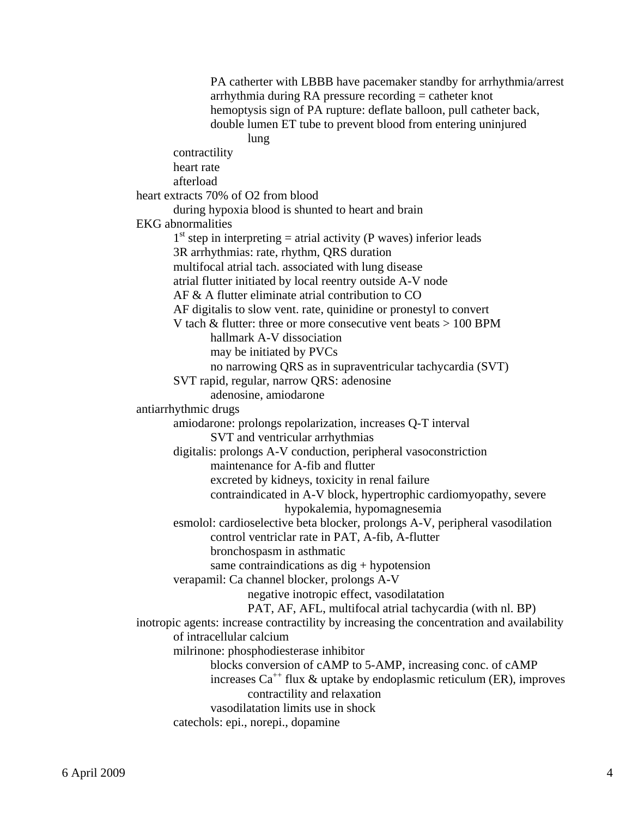PA catherter with LBBB have pacemaker standby for arrhythmia/arrest arrhythmia during RA pressure recording = catheter knot hemoptysis sign of PA rupture: deflate balloon, pull catheter back, double lumen ET tube to prevent blood from entering uninjured **lung**  contractility heart rate afterload heart extracts 70% of O2 from blood during hypoxia blood is shunted to heart and brain EKG abnormalities  $1<sup>st</sup>$  step in interpreting = atrial activity (P waves) inferior leads 3R arrhythmias: rate, rhythm, QRS duration multifocal atrial tach. associated with lung disease atrial flutter initiated by local reentry outside A-V node AF & A flutter eliminate atrial contribution to CO AF digitalis to slow vent. rate, quinidine or pronestyl to convert V tach & flutter: three or more consecutive vent beats > 100 BPM hallmark A-V dissociation may be initiated by PVCs no narrowing QRS as in supraventricular tachycardia (SVT) SVT rapid, regular, narrow QRS: adenosine adenosine, amiodarone antiarrhythmic drugs amiodarone: prolongs repolarization, increases Q-T interval SVT and ventricular arrhythmias digitalis: prolongs A-V conduction, peripheral vasoconstriction maintenance for A-fib and flutter excreted by kidneys, toxicity in renal failure contraindicated in A-V block, hypertrophic cardiomyopathy, severe hypokalemia, hypomagnesemia esmolol: cardioselective beta blocker, prolongs A-V, peripheral vasodilation control ventriclar rate in PAT, A-fib, A-flutter bronchospasm in asthmatic same contraindications as  $dig + hypotens$  verapamil: Ca channel blocker, prolongs A-V negative inotropic effect, vasodilatation PAT, AF, AFL, multifocal atrial tachycardia (with nl. BP) inotropic agents: increase contractility by increasing the concentration and availability of intracellular calcium milrinone: phosphodiesterase inhibitor blocks conversion of cAMP to 5-AMP, increasing conc. of cAMP increases  $Ca^{++}$  flux & uptake by endoplasmic reticulum (ER), improves contractility and relaxation vasodilatation limits use in shock catechols: epi., norepi., dopamine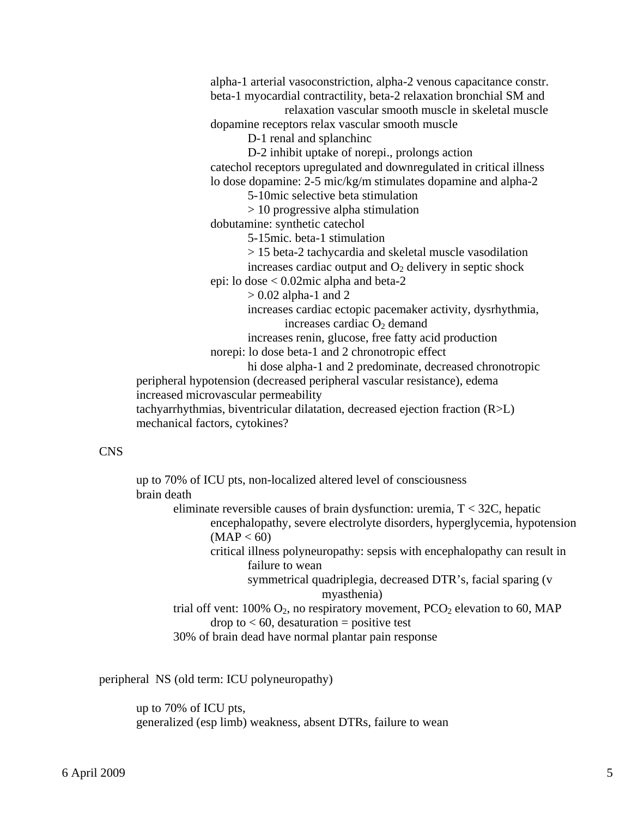alpha-1 arterial vasoconstriction, alpha-2 venous capacitance constr. beta-1 myocardial contractility, beta-2 relaxation bronchial SM and

 relaxation vascular smooth muscle in skeletal muscle dopamine receptors relax vascular smooth muscle

D-1 renal and splanchinc

 D-2 inhibit uptake of norepi., prolongs action catechol receptors upregulated and downregulated in critical illness lo dose dopamine: 2-5 mic/kg/m stimulates dopamine and alpha-2

5-10mic selective beta stimulation

> 10 progressive alpha stimulation

dobutamine: synthetic catechol

5-15mic. beta-1 stimulation

> 15 beta-2 tachycardia and skeletal muscle vasodilation

increases cardiac output and  $O_2$  delivery in septic shock

epi: lo dose < 0.02mic alpha and beta-2

 $> 0.02$  alpha-1 and 2

 increases cardiac ectopic pacemaker activity, dysrhythmia, increases cardiac  $O<sub>2</sub>$  demand

increases renin, glucose, free fatty acid production

norepi: lo dose beta-1 and 2 chronotropic effect

hi dose alpha-1 and 2 predominate, decreased chronotropic

 peripheral hypotension (decreased peripheral vascular resistance), edema increased microvascular permeability tachyarrhythmias, biventricular dilatation, decreased ejection fraction (R>L)

mechanical factors, cytokines?

## CNS

 up to 70% of ICU pts, non-localized altered level of consciousness brain death eliminate reversible causes of brain dysfunction: uremia, T < 32C, hepatic encephalopathy, severe electrolyte disorders, hyperglycemia, hypotension  $(MAP < 60)$  critical illness polyneuropathy: sepsis with encephalopathy can result in failure to wean symmetrical quadriplegia, decreased DTR's, facial sparing (v myasthenia) trial off vent:  $100\%$  O<sub>2</sub>, no respiratory movement,  $PCO<sub>2</sub>$  elevation to 60, MAP drop to  $< 60$ , desaturation = positive test 30% of brain dead have normal plantar pain response

peripheral NS (old term: ICU polyneuropathy)

 up to 70% of ICU pts, generalized (esp limb) weakness, absent DTRs, failure to wean